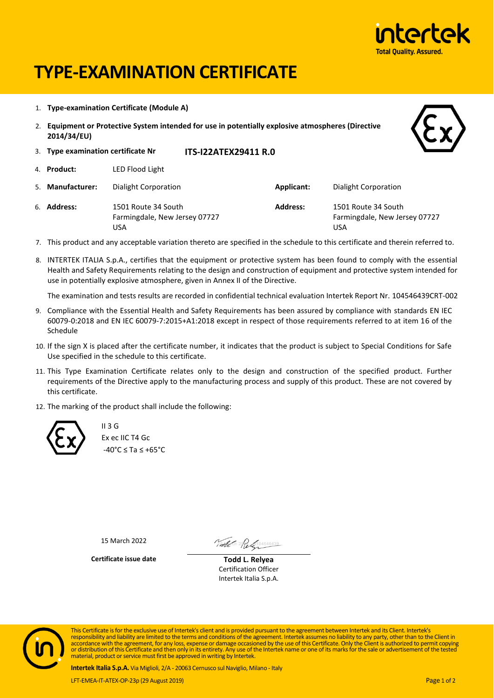

# **TYPE-EXAMINATION CERTIFICATE**

1. **Type-examination Certificate (Module A)**

USA

2. **Equipment or Protective System intended for use in potentially explosive atmospheres (Directive 2014/34/EU)**



- 3. **Type examination certificate Nr ITS-I22ATEX29411 R.0** 4. **Product:** LED Flood Light 5. **Manufacturer:** Dialight Corporation **Applicant:** Dialight Corporation 6. **Address:** 1501 Route 34 South Farmingdale, New Jersey 07727 **Address:** 1501 Route 34 South Farmingdale, New Jersey 07727
- 7. This product and any acceptable variation thereto are specified in the schedule to this certificate and therein referred to.

USA

8. INTERTEK ITALIA S.p.A., certifies that the equipment or protective system has been found to comply with the essential Health and Safety Requirements relating to the design and construction of equipment and protective system intended for use in potentially explosive atmosphere, given in Annex II of the Directive.

The examination and tests results are recorded in confidential technical evaluation Intertek Report Nr. 104546439CRT-002

- 9. Compliance with the Essential Health and Safety Requirements has been assured by compliance with standards EN IEC 60079-0:2018 and EN IEC 60079-7:2015+A1:2018 except in respect of those requirements referred to at item 16 of the Schedule
- 10. If the sign X is placed after the certificate number, it indicates that the product is subject to Special Conditions for Safe Use specified in the schedule to this certificate.
- 11. This Type Examination Certificate relates only to the design and construction of the specified product. Further requirements of the Directive apply to the manufacturing process and supply of this product. These are not covered by this certificate.
- 12. The marking of the product shall include the following:



 $II$  3 G Ex ec IIC T4 Gc -40°C ≤ Ta ≤ +65°C

15 March 2022

Total 1 2 Religion 546439

**Certificate issue date Todd L. Relyea**

Certification Officer Intertek Italia S.p.A.



This Certificate is for the exclusive use of Intertek's client and is provided pursuant to the agreement between Intertek and its Client. Intertek's responsibility and liability are limited to the terms and conditions of the agreement. Intertek assumes no liability to any party, other than to the Client in<br>accordance with the agreement, for any loss, expense or damage material, product or service must first be approved in writing by Intertek.

**Intertek Italia S.p.A.** Via Miglioli, 2/A - 20063 Cernusco sul Naviglio, Milano - Italy